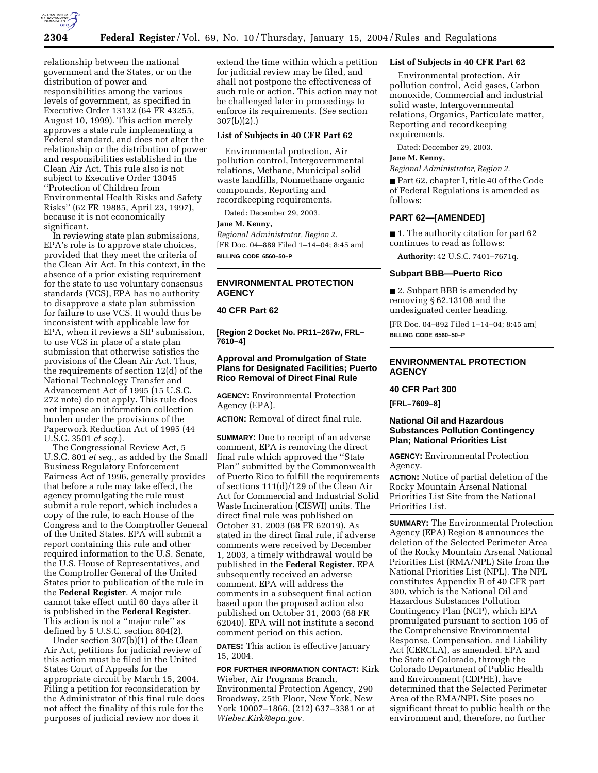

relationship between the national government and the States, or on the distribution of power and responsibilities among the various levels of government, as specified in Executive Order 13132 (64 FR 43255, August 10, 1999). This action merely approves a state rule implementing a Federal standard, and does not alter the relationship or the distribution of power and responsibilities established in the Clean Air Act. This rule also is not subject to Executive Order 13045 ''Protection of Children from Environmental Health Risks and Safety Risks'' (62 FR 19885, April 23, 1997), because it is not economically significant.

In reviewing state plan submissions, EPA's role is to approve state choices, provided that they meet the criteria of the Clean Air Act. In this context, in the absence of a prior existing requirement for the state to use voluntary consensus standards (VCS), EPA has no authority to disapprove a state plan submission for failure to use VCS. It would thus be inconsistent with applicable law for EPA, when it reviews a SIP submission, to use VCS in place of a state plan submission that otherwise satisfies the provisions of the Clean Air Act. Thus, the requirements of section 12(d) of the National Technology Transfer and Advancement Act of 1995 (15 U.S.C. 272 note) do not apply. This rule does not impose an information collection burden under the provisions of the Paperwork Reduction Act of 1995 (44 U.S.C. 3501 *et seq.*).

The Congressional Review Act, 5 U.S.C. 801 *et seq.*, as added by the Small Business Regulatory Enforcement Fairness Act of 1996, generally provides that before a rule may take effect, the agency promulgating the rule must submit a rule report, which includes a copy of the rule, to each House of the Congress and to the Comptroller General of the United States. EPA will submit a report containing this rule and other required information to the U.S. Senate, the U.S. House of Representatives, and the Comptroller General of the United States prior to publication of the rule in the **Federal Register**. A major rule cannot take effect until 60 days after it is published in the **Federal Register**. This action is not a ''major rule'' as defined by 5 U.S.C. section 804(2).

Under section 307(b)(1) of the Clean Air Act, petitions for judicial review of this action must be filed in the United States Court of Appeals for the appropriate circuit by March 15, 2004. Filing a petition for reconsideration by the Administrator of this final rule does not affect the finality of this rule for the purposes of judicial review nor does it

extend the time within which a petition for judicial review may be filed, and shall not postpone the effectiveness of such rule or action. This action may not be challenged later in proceedings to enforce its requirements. (*See* section 307(b)(2).)

### **List of Subjects in 40 CFR Part 62**

Environmental protection, Air pollution control, Intergovernmental relations, Methane, Municipal solid waste landfills, Nonmethane organic compounds, Reporting and recordkeeping requirements.

Dated: December 29, 2003.

### **Jane M. Kenny,**

*Regional Administrator, Region 2.* [FR Doc. 04–889 Filed 1–14–04; 8:45 am] **BILLING CODE 6560–50–P**

### **ENVIRONMENTAL PROTECTION AGENCY**

### **40 CFR Part 62**

**[Region 2 Docket No. PR11–267w, FRL– 7610–4]** 

## **Approval and Promulgation of State Plans for Designated Facilities; Puerto Rico Removal of Direct Final Rule**

**AGENCY:** Environmental Protection Agency (EPA).

**ACTION:** Removal of direct final rule.

**SUMMARY:** Due to receipt of an adverse comment, EPA is removing the direct final rule which approved the ''State Plan'' submitted by the Commonwealth of Puerto Rico to fulfill the requirements of sections 111(d)/129 of the Clean Air Act for Commercial and Industrial Solid Waste Incineration (CISWI) units. The direct final rule was published on October 31, 2003 (68 FR 62019). As stated in the direct final rule, if adverse comments were received by December 1, 2003, a timely withdrawal would be published in the **Federal Register**. EPA subsequently received an adverse comment. EPA will address the comments in a subsequent final action based upon the proposed action also published on October 31, 2003 (68 FR 62040). EPA will not institute a second comment period on this action.

**DATES:** This action is effective January 15, 2004.

**FOR FURTHER INFORMATION CONTACT:** Kirk Wieber, Air Programs Branch, Environmental Protection Agency, 290 Broadway, 25th Floor, New York, New York 10007–1866, (212) 637–3381 or at *Wieber.Kirk@epa.gov.*

### **List of Subjects in 40 CFR Part 62**

Environmental protection, Air pollution control, Acid gases, Carbon monoxide, Commercial and industrial solid waste, Intergovernmental relations, Organics, Particulate matter, Reporting and recordkeeping requirements.

Dated: December 29, 2003.

#### **Jane M. Kenny,**

*Regional Administrator, Region 2.*

■ Part 62, chapter I, title 40 of the Code of Federal Regulations is amended as follows:

#### **PART 62—[AMENDED]**

■ 1. The authority citation for part 62 continues to read as follows:

**Authority:** 42 U.S.C. 7401–7671q.

### **Subpart BBB—Puerto Rico**

■ 2. Subpart BBB is amended by removing § 62.13108 and the undesignated center heading.

[FR Doc. 04–892 Filed 1–14–04; 8:45 am] **BILLING CODE 6560–50–P**

### **ENVIRONMENTAL PROTECTION AGENCY**

#### **40 CFR Part 300**

**[FRL–7609–8]** 

## **National Oil and Hazardous Substances Pollution Contingency Plan; National Priorities List**

**AGENCY:** Environmental Protection Agency.

**ACTION:** Notice of partial deletion of the Rocky Mountain Arsenal National Priorities List Site from the National Priorities List.

**SUMMARY:** The Environmental Protection Agency (EPA) Region 8 announces the deletion of the Selected Perimeter Area of the Rocky Mountain Arsenal National Priorities List (RMA/NPL) Site from the National Priorities List (NPL). The NPL constitutes Appendix B of 40 CFR part 300, which is the National Oil and Hazardous Substances Pollution Contingency Plan (NCP), which EPA promulgated pursuant to section 105 of the Comprehensive Environmental Response, Compensation, and Liability Act (CERCLA), as amended. EPA and the State of Colorado, through the Colorado Department of Public Health and Environment (CDPHE), have determined that the Selected Perimeter Area of the RMA/NPL Site poses no significant threat to public health or the environment and, therefore, no further